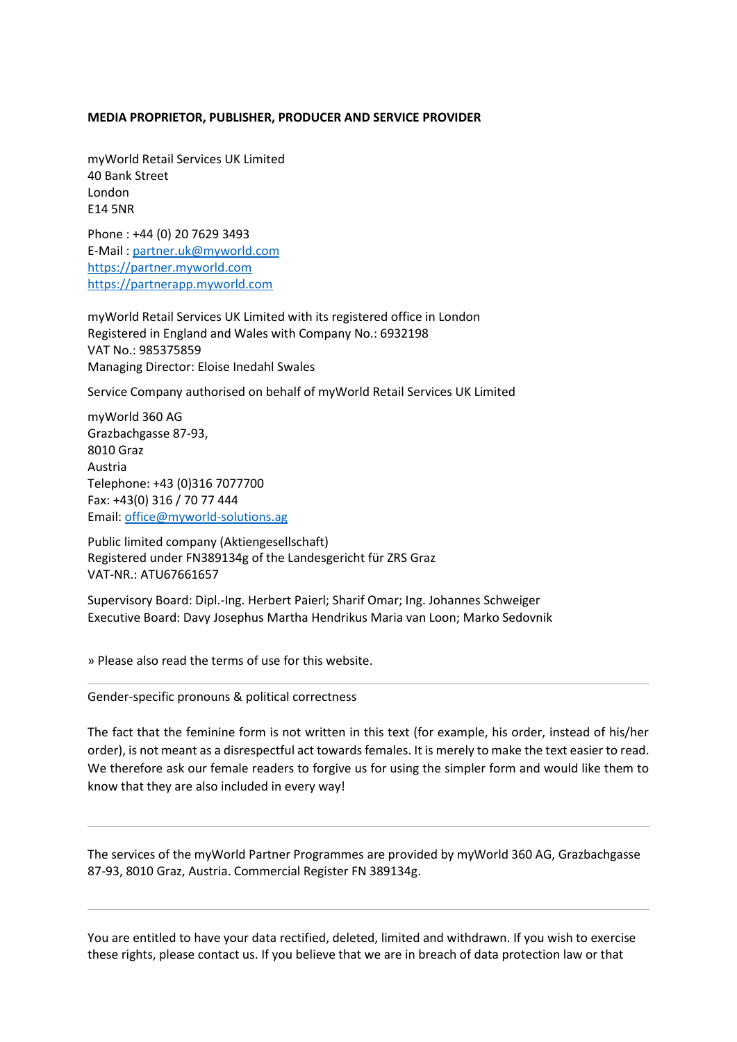## **MEDIA PROPRIETOR, PUBLISHER, PRODUCER AND SERVICE PROVIDER**

myWorld Retail Services UK Limited 40 Bank Street London E14 5NR

Phone : +44 (0) 20 7629 3493 E-Mail : [partner.uk@myworld.com](mailto:partner.uk@myworld.com) https://partner.myworld.com [https://partnerapp.myworld.com](https://partnerapp.myworld.com/)

myWorld Retail Services UK Limited with its registered office in London Registered in England and Wales with Company No.: 6932198 VAT No.: 985375859 Managing Director: Eloise Inedahl Swales

Service Company authorised on behalf of myWorld Retail Services UK Limited

myWorld 360 AG Grazbachgasse 87-93, 8010 Graz Austria Telephone: +43 (0)316 7077700 Fax: +43(0) 316 / 70 77 444 Email: [office@myworld-solutions.ag](mailto:office@myworld-solutions.ag)

Public limited company (Aktiengesellschaft) Registered under FN389134g of the Landesgericht für ZRS Graz VAT-NR.: ATU67661657

Supervisory Board: Dipl.-Ing. Herbert Paierl; Sharif Omar; Ing. Johannes Schweiger Executive Board: Davy Josephus Martha Hendrikus Maria van Loon; Marko Sedovnik

» Please also read the terms of use for this website.

Gender-specific pronouns & political correctness

The fact that the feminine form is not written in this text (for example, his order, instead of his/her order), is not meant as a disrespectful act towards females. It is merely to make the text easier to read. We therefore ask our female readers to forgive us for using the simpler form and would like them to know that they are also included in every way!

The services of the myWorld Partner Programmes are provided by myWorld 360 AG, Grazbachgasse 87-93, 8010 Graz, Austria. Commercial Register FN 389134g.

You are entitled to have your data rectified, deleted, limited and withdrawn. If you wish to exercise these rights, please contact us. If you believe that we are in breach of data protection law or that